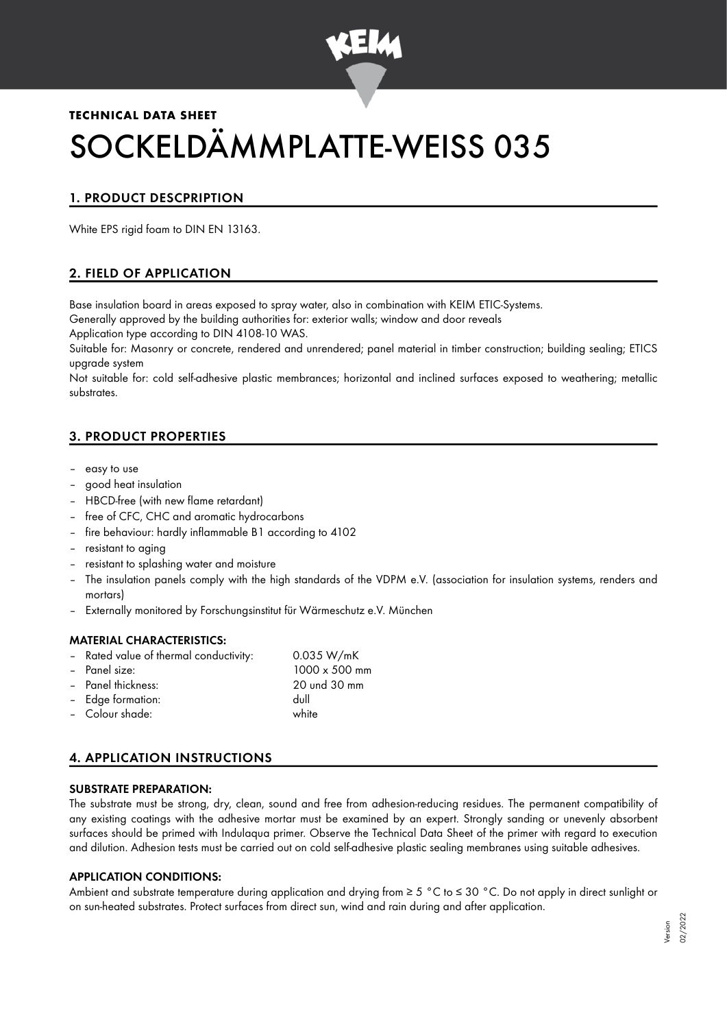

# **TECHNICAL DATA SHEET** SOCKELDÄMMPLATTE-WEISS 035

# 1. PRODUCT DESCPRIPTION

White EPS rigid foam to DIN EN 13163.

## 2. FIELD OF APPLICATION

Base insulation board in areas exposed to spray water, also in combination with KEIM ETIC-Systems.

Generally approved by the building authorities for: exterior walls; window and door reveals

Application type according to DIN 4108-10 WAS.

Suitable for: Masonry or concrete, rendered and unrendered; panel material in timber construction; building sealing; ETICS upgrade system

Not suitable for: cold self-adhesive plastic membrances; horizontal and inclined surfaces exposed to weathering; metallic substrates.

## 3. PRODUCT PROPERTIES

- easy to use
- good heat insulation
- HBCD-free (with new flame retardant)
- free of CFC, CHC and aromatic hydrocarbons
- fire behaviour: hardly inflammable B1 according to 4102
- resistant to aging
- resistant to splashing water and moisture
- The insulation panels comply with the high standards of the VDPM e.V. (association for insulation systems, renders and mortars)
- Externally monitored by Forschungsinstitut für Wärmeschutz e.V. München

#### MATERIAL CHARACTERISTICS:

- Rated value of thermal conductivity: 0.035 W/mK – Panel size: 1000 x 500 mm
- Panel thickness: 20 und 30 mm
- Edge formation: dull
- Colour shade: white

# 4. APPLICATION INSTRUCTIONS

#### SUBSTRATE PREPARATION:

The substrate must be strong, dry, clean, sound and free from adhesion-reducing residues. The permanent compatibility of any existing coatings with the adhesive mortar must be examined by an expert. Strongly sanding or unevenly absorbent surfaces should be primed with Indulaqua primer. Observe the Technical Data Sheet of the primer with regard to execution and dilution. Adhesion tests must be carried out on cold self-adhesive plastic sealing membranes using suitable adhesives.

#### APPLICATION CONDITIONS:

Ambient and substrate temperature during application and drying from ≥ 5 °C to ≤ 30 °C. Do not apply in direct sunlight or on sun-heated substrates. Protect surfaces from direct sun, wind and rain during and after application.